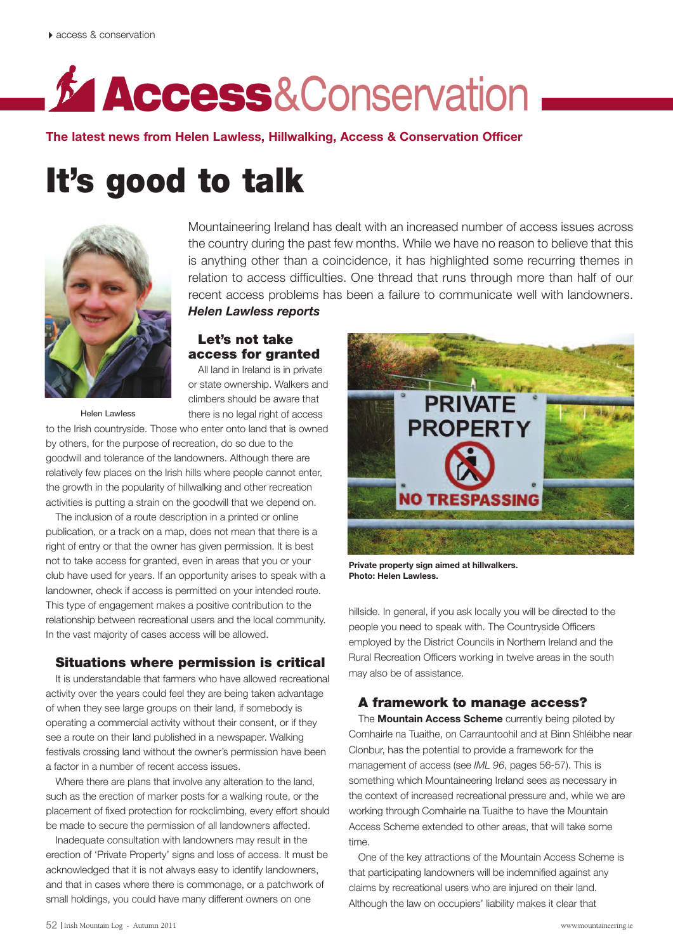# **Access**&Conservation

**The latest news from Helen Lawless, Hillwalking, Access & Conservation Officer**

## **It's good to talk**



Mountaineering Ireland has dealt with an increased number of access issues across the country during the past few months. While we have no reason to believe that this is anything other than a coincidence, it has highlighted some recurring themes in relation to access difficulties. One thread that runs through more than half of our recent access problems has been a failure to communicate well with landowners. *Helen Lawless reports*

#### **Let's not take access for granted**

All land in Ireland is in private or state ownership. Walkers and climbers should be aware that there is no legal right of access

Helen Lawless

to the Irish countryside. Those who enter onto land that is owned by others, for the purpose of recreation, do so due to the goodwill and tolerance of the landowners. Although there are relatively few places on the Irish hills where people cannot enter, the growth in the popularity of hillwalking and other recreation activities is putting a strain on the goodwill that we depend on.

The inclusion of a route description in a printed or online publication, or a track on a map, does not mean that there is a right of entry or that the owner has given permission. It is best not to take access for granted, even in areas that you or your club have used for years. If an opportunity arises to speak with a landowner, check if access is permitted on your intended route. This type of engagement makes a positive contribution to the relationship between recreational users and the local community. In the vast majority of cases access will be allowed.

#### **Situations where permission is critical**

It is understandable that farmers who have allowed recreational activity over the years could feel they are being taken advantage of when they see large groups on their land, if somebody is operating a commercial activity without their consent, or if they see a route on their land published in a newspaper. Walking festivals crossing land without the owner's permission have been a factor in a number of recent access issues.

Where there are plans that involve any alteration to the land, such as the erection of marker posts for a walking route, or the placement of fixed protection for rockclimbing, every effort should be made to secure the permission of all landowners affected.

Inadequate consultation with landowners may result in the erection of 'Private Property' signs and loss of access. It must be acknowledged that it is not always easy to identify landowners, and that in cases where there is commonage, or a patchwork of small holdings, you could have many different owners on one



**Private property sign aimed at hillwalkers. Photo: Helen Lawless.**

hillside. In general, if you ask locally you will be directed to the people you need to speak with. The Countryside Officers employed by the District Councils in Northern Ireland and the Rural Recreation Officers working in twelve areas in the south may also be of assistance.

#### **A framework to manage access?**

The **Mountain Access Scheme** currently being piloted by Comhairle na Tuaithe, on Carrauntoohil and at Binn Shléibhe near Clonbur, has the potential to provide a framework for the management of access (see *IML 96*, pages 56-57). This is something which Mountaineering Ireland sees as necessary in the context of increased recreational pressure and, while we are working through Comhairle na Tuaithe to have the Mountain Access Scheme extended to other areas, that will take some time.

One of the key attractions of the Mountain Access Scheme is that participating landowners will be indemnified against any claims by recreational users who are injured on their land. Although the law on occupiers' liability makes it clear that